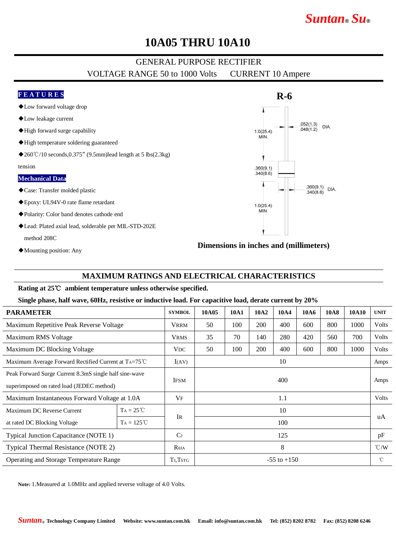# *Suntan***®** *Su***®**

### **10A05 THRU 10A10**

### GENERAL PURPOSE RECTIFIER

VOLTAGE RANGE 50 to 1000 Volts CURRENT 10 Ampere

#### **F E A T U R E S R-6** ◆Low forward voltage drop ◆Low leakage current  $.052(1.3)$ <br> $.048(1.2)$ DIA. ◆High forward surge capability  $1.0(25.4)$ MIN. ◆High temperature soldering guaranteed ◆260°C/10 seconds,0.375″ (9.5mm)lead length at 5 lbs(2.3kg) tension  $.360(9.1)$  $.340(8.6)$ **Mechanical Data**  $.360(9.1)$ DIA. ◆Case: Transfer molded plastic  $.340(8.6)$ ◆Epoxy: UL94V-0 rate flame retardant  $1.0(25.4)$ MIN. ◆Polarity: Color band denotes cathode end ◆Lead: Plated axial lead, solderable per MIL-STD-202E method 208C

◆Mounting position: Any

#### **Dimensions in inches and (millimeters)**

#### **MAXIMUM RATINGS AND ELECTRICAL CHARACTERISTICS**

#### **Rating at 25**℃ **ambient temperature unless otherwise specified.**

#### **Single phase, half wave, 60Hz, resistive or inductive load. For capacitive load, derate current by 20%**

| <b>PARAMETER</b>                                              |                      | <b>SYMBOL</b>   | 10A05           | 10A1 | 10A2 | 10A4 | <b>10A6</b> | <b>10A8</b> | 10A10 | <b>UNIT</b>        |
|---------------------------------------------------------------|----------------------|-----------------|-----------------|------|------|------|-------------|-------------|-------|--------------------|
| Maximum Repetitive Peak Reverse Voltage                       |                      | <b>VRRM</b>     | 50              | 100  | 200  | 400  | 600         | 800         | 1000  | Volts              |
| Maximum RMS Voltage                                           |                      | <b>VRMS</b>     | 35              | 70   | 140  | 280  | 420         | 560         | 700   | Volts              |
| Maximum DC Blocking Voltage                                   |                      | VDC.            | 50              | 100  | 200  | 400  | 600         | 800         | 1000  | Volts              |
| Maximum Average Forward Rectified Current at $Ta=75^{\circ}C$ |                      | I(AV)           | 10<br>Amps      |      |      |      |             |             |       |                    |
| Peak Forward Surge Current 8.3mS single half sine-wave        |                      |                 | 400             |      |      |      |             |             |       | Amps               |
| superimposed on rated load (JEDEC method)                     |                      | <b>IFSM</b>     |                 |      |      |      |             |             |       |                    |
| Maximum Instantaneous Forward Voltage at 1.0A                 |                      | $V_{\rm F}$     | 1.1             |      |      |      |             |             |       | Volts              |
| Maximum DC Reverse Current                                    | $T_A = 25^{\circ}C$  |                 | 10              |      |      |      |             |             |       | uA                 |
| at rated DC Blocking Voltage                                  | $T_A = 125^{\circ}C$ | <b>IR</b>       | 100             |      |      |      |             |             |       |                    |
| Typical Junction Capacitance (NOTE 1)                         |                      | C <sub>J</sub>  | 125             |      |      |      |             |             |       | pF                 |
| Typical Thermal Resistance (NOTE 2)                           |                      | $R_{\theta JA}$ | 8               |      |      |      |             |             |       | $\rm ^{\circ}$ C/W |
| Operating and Storage Temperature Range                       |                      | TJ, TSTG        | $-55$ to $+150$ |      |      |      |             |             |       | $^{\circ}$ C       |

**Note:** 1.Measured at 1.0MHz and applied reverse voltage of 4.0 Volts.